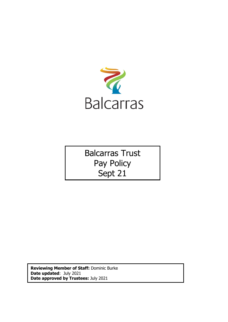

Balcarras Trust Pay Policy Sept 21

**Reviewing Member of Staff:** Dominic Burke **Date updated**: July 2021 **Date approved by Trustees:** July 2021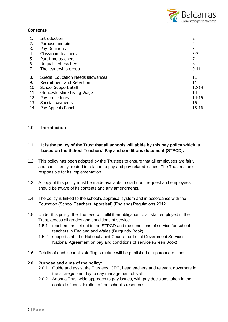

# **Contents**

| 1.  | Introduction                       |           |
|-----|------------------------------------|-----------|
| 2.  | Purpose and aims                   |           |
| 3.  | Pay Decisions                      | 3         |
| 4.  | Classroom teachers                 | $3 - 7$   |
| 5.  | Part time teachers                 |           |
| 6.  | Unqualified teachers               | 8         |
| 7.  | The leadership group               | $9 - 11$  |
| 8.  | Special Education Needs allowances | 11        |
| 9.  | Recruitment and Retention          | 11        |
| 10. | <b>School Support Staff</b>        | $12 - 14$ |
| 11. | Gloucestershire Living Wage        | 14        |
| 12. | Pay procedures                     | $14 - 15$ |
| 13. | Special payments                   | 15        |
| 14. | Pay Appeals Panel                  | $15 - 16$ |

### 1.0 **Introduction**

## 1.1 **It is the policy of the Trust that all schools will abide by this pay policy which is based on the School Teachers' Pay and conditions document (STPCD).**

- 1.2 This policy has been adopted by the Trustees to ensure that all employees are fairly and consistently treated in relation to pay and pay related issues. The Trustees are responsible for its implementation.
- 1.3 A copy of this policy must be made available to staff upon request and employees should be aware of its contents and any amendments.
- 1.4 The policy is linked to the school's appraisal system and in accordance with the Education (School Teachers' Appraisal) (England) Regulations 2012.
- 1.5 Under this policy, the Trustees will fulfil their obligation to all staff employed in the Trust, across all grades and conditions of service:
	- 1.5.1 teachers: as set out in the STPCD and the conditions of service for school teachers in England and Wales (Burgundy Book)
	- 1.5.2 support staff: the National Joint Council for Local Government Services National Agreement on pay and conditions of service (Green Book)
- 1.6 Details of each school's staffing structure will be published at appropriate times.

### **2.0 Purpose and aims of the policy:**

- 2.0.1 Guide and assist the Trustees, CEO, headteachers and relevant governors in the strategic and day to day management of staff
- 2.0.2 Adopt a Trust wide approach to pay issues, with pay decisions taken in the context of consideration of the school's resources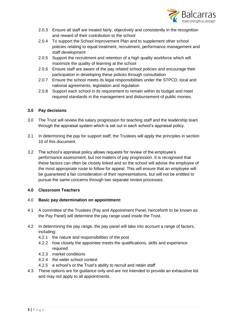

- 2.0.3 Ensure all staff are treated fairly, objectively and consistently in the recognition and reward of their contribution to the school
- 2.0.4 To support the School Improvement Plan and to supplement other school policies relating to equal treatment, recruitment, performance management and staff development
- 2.0.5 Support the recruitment and retention of a high quality workforce which will maximize the quality of learning at the school
- 2.0.6 Ensure staff are aware of the pay related school policies and encourage their participation in developing these polices through consultation
- 2.0.7 Ensure the school meets its legal responsibilities under the STPCD, local and national agreements, legislation and regulation
- 2.0.8 Support each school in its requirement to remain within its budget and meet required standards in the management and disbursement of public monies.

### **3.0 Pay decisions**

- 3.0 The Trust will review the salary progression for teaching staff and the leadership team through the appraisal system which is set out in each school's appraisal policy.
- 3.1 In determining the pay for support staff, the Trustees will apply the principles in section 10 of this document.
- 3.2 The school's appraisal policy allows requests for review of the employee's performance assessment, but not matters of pay progression. It is recognised that these factors can often be closely linked and so the school will advise the employee of the most appropriate route to follow for appeal. This will ensure that an employee will be guaranteed a fair consideration of their representations, but will not be entitled to pursue the same concerns through two separate review processes.

## **4.0 Classroom Teachers**

#### 4.0 **Basic pay determination on appointment:**

- 4.1 A committee of the Trustees (Pay and Appointment Panel, henceforth to be known as the Pay Panel) will determine the pay range used inside the Trust.
- 4.2 In determining the pay range, the pay panel will take into account a range of factors, including:
	- 4.2.1 the nature and responsibilities of the post
	- 4.2.2 how closely the appointee meets the qualifications, skills and experience required
	- 4.2.3 market conditions
	- 4.2.4 the wider school context
	- 4.2.5 a school's or the Trust's ability to recruit and retain staff
- 4.3 These options are for guidance only and are not intended to provide an exhaustive list and may not apply to all appointments.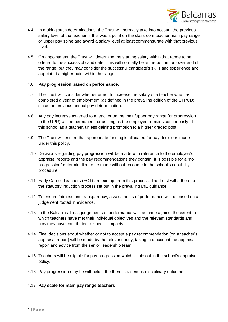

- 4.4 In making such determinations, the Trust will normally take into account the previous salary level of the teacher, if this was a point on the classroom teacher main pay range or upper pay spine and award a salary level at least commensurate with that previous level.
- 4.5 On appointment, the Trust will determine the starting salary within that range to be offered to the successful candidate. This will normally be at the bottom or lower end of the range, but they may consider the successful candidate's skills and experience and appoint at a higher point within the range.

#### 4.6 **Pay progression based on performance:**

- 4.7 The Trust will consider whether or not to increase the salary of a teacher who has completed a year of employment (as defined in the prevailing edition of the STPCD) since the previous annual pay determination.
- 4.8 Any pay increase awarded to a teacher on the main/upper pay range (or progression to the UPR) will be permanent for as long as the employee remains continuously at this school as a teacher, unless gaining promotion to a higher graded post.
- 4.9 The Trust will ensure that appropriate funding is allocated for pay decisions made under this policy.
- 4.10 Decisions regarding pay progression will be made with reference to the employee's appraisal reports and the pay recommendations they contain. It is possible for a "no progression" determination to be made without recourse to the school's capability procedure.
- 4.11 Early Career Teachers (ECT) are exempt from this process. The Trust will adhere to the statutory induction process set out in the prevailing DfE guidance.
- 4.12 To ensure fairness and transparency, assessments of performance will be based on a judgement rooted in evidence.
- 4.13 In the Balcarras Trust, judgements of performance will be made against the extent to which teachers have met their individual objectives and the relevant standards and how they have contributed to specific impacts.
- 4.14 Final decisions about whether or not to accept a pay recommendation (on a teacher's appraisal report) will be made by the relevant body, taking into account the appraisal report and advice from the senior leadership team.
- 4.15 Teachers will be eligible for pay progression which is laid out in the school's appraisal policy.
- 4.16 Pay progression may be withheld if the there is a serious disciplinary outcome.

#### 4.17 **Pay scale for main pay range teachers**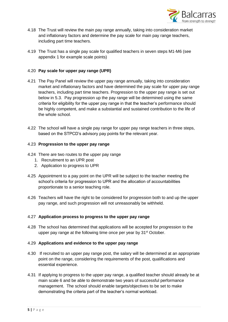

- 4.18 The Trust will review the main pay range annually, taking into consideration market and inflationary factors and determine the pay scale for main pay range teachers, including part time teachers.
- 4.19 The Trust has a single pay scale for qualified teachers in seven steps M1-M6 (see appendix 1 for example scale points)

### 4.20 **Pay scale for upper pay range (UPR)**

- 4.21 The Pay Panel will review the upper pay range annually, taking into consideration market and inflationary factors and have determined the pay scale for upper pay range teachers, including part time teachers. Progression to the upper pay range is set out below in 5.3. Pay progression up the pay range will be determined using the same criteria for eligibility for the upper pay range in that the teacher's performance should be highly competent, and make a substantial and sustained contribution to the life of the whole school.
- 4.22 The school will have a single pay range for upper pay range teachers in three steps, based on the STPCD's advisory pay points for the relevant year.

#### 4.23 **Progression to the upper pay range**

- 4.24 There are two routes to the upper pay range
	- 1. Recruitment to an UPR post
	- 2. Application to progress to UPR
- 4.25 Appointment to a pay point on the UPR will be subject to the teacher meeting the school's criteria for progression to UPR and the allocation of accountabilities proportionate to a senior teaching role.
- 4.26 Teachers will have the right to be considered for progression both to and up the upper pay range, and such progression will not unreasonably be withheld.

#### 4.27 **Application process to progress to the upper pay range**

4.28 The school has determined that applications will be accepted for progression to the upper pay range at the following time once per year by 31<sup>st</sup> October.

#### 4.29 **Applications and evidence to the upper pay range**

- 4.30 If recruited to an upper pay range post, the salary will be determined at an appropriate point on the range, considering the requirements of the post, qualifications and essential experience.
- 4.31 If applying to progress to the upper pay range, a qualified teacher should already be at main scale 6 and be able to demonstrate two years of successful performance management. The school should enable targets/objectives to be set to make demonstrating the criteria part of the teacher's normal workload.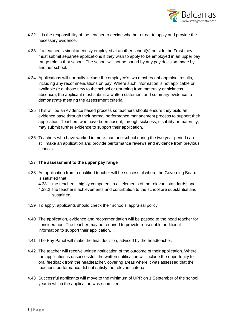

- 4.32 It is the responsibility of the teacher to decide whether or not to apply and provide the necessary evidence.
- 4.33 If a teacher is simultaneously employed at another school(s) outside the Trust they must submit separate applications if they wish to apply to be employed in an upper pay range role in that school. The school will not be bound by any pay decision made by another school.
- 4.34 Applications will normally include the employee's two most recent appraisal results, including any recommendations on pay. Where such information is not applicable or available (e.g. those new to the school or returning from maternity or sickness absence), the applicant must submit a written statement and summary evidence to demonstrate meeting the assessment criteria.
- 4.35 This will be an evidence based process so teachers should ensure they build an evidence base through their normal performance management process to support their application. Teachers who have been absent, through sickness, disability or maternity, may submit further evidence to support their application.
- 4.36 Teachers who have worked in more than one school during the two year period can still make an application and provide performance reviews and evidence from previous schools.

### 4.37 **The assessment to the upper pay range**

- 4.38 An application from a qualified teacher will be successful where the Governing Board is satisfied that:
	- 4.38.1 the teacher is highly competent in all elements of the relevant standards; and
	- 4.38.2 the teacher's achievements and contribution to the school are substantial and sustained
- 4.39 To apply, applicants should check their schools' appraisal policy.
- 4.40 The application, evidence and recommendation will be passed to the head teacher for consideration. The teacher may be required to provide reasonable additional information to support their application.
- 4.41 The Pay Panel will make the final decision, advised by the headteacher.
- 4.42 The teacher will receive written notification of the outcome of their application. Where the application is unsuccessful, the written notification will include the opportunity for oral feedback from the headteacher, covering areas where it was assessed that the teacher's performance did not satisfy the relevant criteria.
- 4.43 Successful applicants will move to the minimum of UPR on 1 September of the school year in which the application was submitted.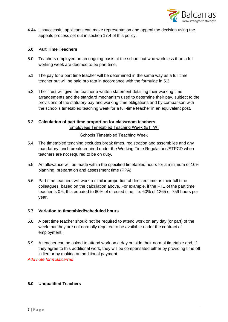

4.44 Unsuccessful applicants can make representation and appeal the decision using the appeals process set out in section 17.4 of this policy.

#### **5.0 Part Time Teachers**

- 5.0 Teachers employed on an ongoing basis at the school but who work less than a full working week are deemed to be part time.
- 5.1 The pay for a part time teacher will be determined in the same way as a full time teacher but will be paid pro rata in accordance with the formulae in 5.3.
- 5.2 The Trust will give the teacher a written statement detailing their working time arrangements and the standard mechanism used to determine their pay, subject to the provisions of the statutory pay and working time obligations and by comparison with the school's timetabled teaching week for a full-time teacher in an equivalent post.

### 5.3 **Calculation of part time proportion for classroom teachers** Employees Timetabled Teaching Week (ETTW)

Schools Timetabled Teaching Week

- 5.4 The timetabled teaching excludes break times, registration and assemblies and any mandatory lunch break required under the Working Time Regulations/STPCD when teachers are not required to be on duty.
- 5.5 An allowance will be made within the specified timetabled hours for a minimum of 10% planning, preparation and assessment time (PPA).
- 5.6 Part time teachers will work a similar proportion of directed time as their full time colleagues, based on the calculation above. For example, if the FTE of the part time teacher is 0.6, this equated to 60% of directed time, i.e. 60% of 1265 or 759 hours per year.

#### 5.7 **Variation to timetabled/scheduled hours**

- 5.8 A part time teacher should not be required to attend work on any day (or part) of the week that they are not normally required to be available under the contract of employment.
- 5.9 A teacher can be asked to attend work on a day outside their normal timetable and, if they agree to this additional work, they will be compensated either by providing time off in lieu or by making an additional payment.

*Add note form Balcarras*

#### **6.0 Unqualified Teachers**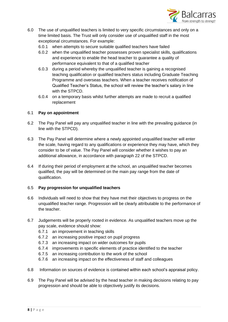

- 6.0 The use of unqualified teachers is limited to very specific circumstances and only on a time limited basis. The Trust will only consider use of unqualified staff in the most exceptional circumstances. For example:
	- 6.0.1 when attempts to secure suitable qualified teachers have failed
	- 6.0.2 when the unqualified teacher possesses proven specialist skills, qualifications and experience to enable the head teacher to guarantee a quality of performance equivalent to that of a qualified teacher
	- 6.0.3 during a period whereby the unqualified teacher is gaining a recognised teaching qualification or qualified teachers status including Graduate Teaching Programme and overseas teachers. When a teacher receives notification of Qualified Teacher's Status, the school will review the teacher's salary in line with the STPCD.
	- 6.0.4 on a temporary basis whilst further attempts are made to recruit a qualified replacement

#### 6.1 **Pay on appointment**

- 6.2 The Pay Panel will pay any unqualified teacher in line with the prevailing guidance (in line with the STPCD).
- 6.3 The Pay Panel will determine where a newly appointed unqualified teacher will enter the scale, having regard to any qualifications or experience they may have, which they consider to be of value. The Pay Panel will consider whether it wishes to pay an additional allowance, in accordance with paragraph 22 of the STPCD.
- 6.4 If during their period of employment at the school, an unqualified teacher becomes qualified, the pay will be determined on the main pay range from the date of qualification.

#### 6.5 **Pay progression for unqualified teachers**

- 6.6 Individuals will need to show that they have met their objectives to progress on the unqualified teacher range. Progression will be clearly attributable to the performance of the teacher.
- 6.7 Judgements will be properly rooted in evidence. As unqualified teachers move up the pay scale, evidence should show:
	- 6.7.1 an improvement in teaching skills
	- 6.7.2 an increasing positive impact on pupil progress
	- 6.7.3 an increasing impact on wider outcomes for pupils
	- 6.7.4 improvements in specific elements of practice identified to the teacher
	- 6.7.5 an increasing contribution to the work of the school
	- 6.7.6 an increasing impact on the effectiveness of staff and colleagues
- 6.8 Information on sources of evidence is contained within each school's appraisal policy.
- 6.9 The Pay Panel will be advised by the head teacher in making decisions relating to pay progression and should be able to objectively justify its decisions.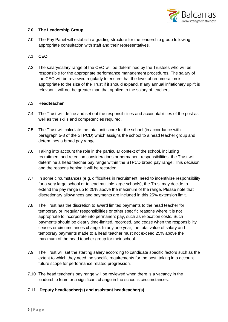

### **7.0 The Leadership Group**

7.0 The Pay Panel will establish a grading structure for the leadership group following appropriate consultation with staff and their representatives.

## 7.1 **CEO**

7.2 The salary/salary range of the CEO will be determined by the Trustees who will be responsible for the appropriate performance management procedures. The salary of the CEO will be reviewed regularly to ensure that the level of renumeration is appropriate to the size of the Trust if it should expand. If any annual inflationary uplift is relevant it will not be greater than that applied to the salary of teachers.

#### 7.3 **Headteacher**

- 7.4 The Trust will define and set out the responsibilities and accountabilities of the post as well as the skills and competencies required.
- 7.5 The Trust will calculate the total unit score for the school (in accordance with paragraph 5-8 of the STPCD) which assigns the school to a head teacher group and determines a broad pay range.
- 7.6 Taking into account the role in the particular context of the school, including recruitment and retention considerations or permanent responsibilities, the Trust will determine a head teacher pay range within the STPCD broad pay range. This decision and the reasons behind it will be recorded.
- 7.7 In some circumstances (e.g. difficulties in recruitment, need to incentivise responsibility for a very large school or to lead multiple large schools), the Trust may decide to extend the pay range up to 25% above the maximum of the range. Please note that discretionary allowances and payments are included in this 25% extension limit.
- 7.8 The Trust has the discretion to award limited payments to the head teacher for temporary or irregular responsibilities or other specific reasons where it is not appropriate to incorporate into permanent pay, such as relocation costs. Such payments should be clearly time-limited, recorded, and cease when the responsibility ceases or circumstances change. In any one year, the total value of salary and temporary payments made to a head teacher must not exceed 25% above the maximum of the head teacher group for their school.
- 7.9 The Trust will set the starting salary according to candidate specific factors such as the extent to which they need the specific requirements for the post, taking into account future scope for performance related progression.
- 7.10 The head teacher's pay range will be reviewed when there is a vacancy in the leadership team or a significant change in the school's circumstances.

#### 7.11 **Deputy headteacher(s) and assistant headteacher(s)**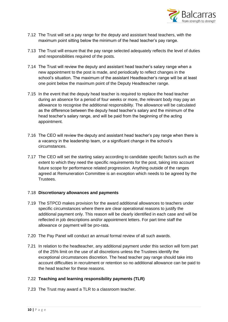

- 7.12 The Trust will set a pay range for the deputy and assistant head teachers, with the maximum point sitting below the minimum of the head teacher's pay range.
- 7.13 The Trust will ensure that the pay range selected adequately reflects the level of duties and responsibilities required of the posts.
- 7.14 The Trust will review the deputy and assistant head teacher's salary range when a new appointment to the post is made, and periodically to reflect changes in the school's situation. The maximum of the assistant Headteacher's range will be at least one point below the maximum point of the Deputy Headteacher range.
- 7.15 In the event that the deputy head teacher is required to replace the head teacher during an absence for a period of four weeks or more, the relevant body may pay an allowance to recognise the additional responsibility. The allowance will be calculated as the difference between the deputy head teacher's salary and the minimum of the head teacher's salary range, and will be paid from the beginning of the acting appointment.
- 7.16 The CEO will review the deputy and assistant head teacher's pay range when there is a vacancy in the leadership team, or a significant change in the school's circumstances.
- 7.17 The CEO will set the starting salary according to candidate specific factors such as the extent to which they need the specific requirements for the post, taking into account future scope for performance related progression. Anything outside of the ranges agreed at Remuneration Committee is an exception which needs to be agreed by the Trustees.

#### 7.18 **Discretionary allowances and payments**

- 7.19 The STPCD makes provision for the award additional allowances to teachers under specific circumstances where there are clear operational reasons to justify the additional payment only. This reason will be clearly identified in each case and will be reflected in job descriptions and/or appointment letters. For part time staff the allowance or payment will be pro-rata.
- 7.20 The Pay Panel will conduct an annual formal review of all such awards.
- 7.21 In relation to the headteacher, any additional payment under this section will form part of the 25% limit on the use of all discretions unless the Trustees identify the exceptional circumstances discretion. The head teacher pay range should take into account difficulties in recruitment or retention so no additional allowance can be paid to the head teacher for these reasons.

#### 7.22 **Teaching and learning responsibility payments (TLR)**

7.23 The Trust may award a TLR to a classroom teacher.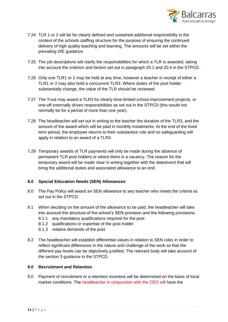

- 7.24 TLR 1 or 2 will be for clearly defined and sustained additional responsibility in the context of the schools staffing structure for the purpose of ensuring the continued delivery of high quality teaching and learning. The amounts will be set within the prevailing DfE guidance.
- 7.25 The job descriptions will clarify the responsibilities for which a TLR is awarded, taking into account the criterion and factors set out in paragraph 20.1 and 20.4 in the STPCD.
- 7.26 Only one TLR1 or 2 may be held at any time; however a teacher in receipt of either a TLR1 or 2 may also hold a concurrent TLR3. Where duties of the post holder substantially change, the value of the TLR should be reviewed.
- 7.27 The Trust may award a TLR3 for clearly time-limited school improvement projects, or one-off externally driven responsibilities as set out in the STPCD (this would not normally be for a period of more than one year).
- 7.28 The headteacher will set out in writing to the teacher the duration of the TLR3, and the amount of the award which will be paid in monthly instalments. At the end of the fixed term period, the employee returns to their substantive role and no safeguarding will apply in relation to an award of a TLR3.
- 7.29 Temporary awards of TLR payments will only be made during the absence of permanent TLR post holders or where there is a vacancy. The reason for the temporary award will be made clear in writing together with the date/event that will bring the additional duties and associated allowance to an end.

#### **8.0 Special Education Needs (SEN) Allowances**

- 8.0 The Pay Policy will award an SEN allowance to any teacher who meets the criteria as set out in the STPCD.
- 8.1 When deciding on the amount of the allowance to be paid, the headteacher will take into account the structure of the school's SEN provision and the following provisions:
	- 8.1.1 any mandatory qualifications required for the post
	- 8.1.2 qualifications or expertise of the post holder
	- 8.1.3 relative demands of the post
- 8.2 The headteacher will establish differential values in relation to SEN roles in order to reflect significant differences in the nature and challenge of the work so that the different pay levels can be objectively justified. The relevant body will take account of the section 3 guidance in the STPCD.

#### **9.0 Recruitment and Retention**

9.0 Payment of recruitment or a retention incentive will be determined on the basis of local market conditions. The headteacher in conjunction with the CEO will have the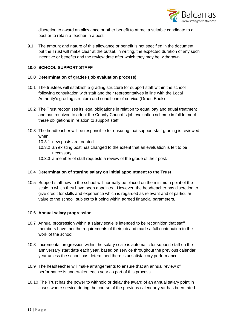

discretion to award an allowance or other benefit to attract a suitable candidate to a post or to retain a teacher in a post.

9.1 The amount and nature of this allowance or benefit is not specified in the document but the Trust will make clear at the outset, in writing, the expected duration of any such incentive or benefits and the review date after which they may be withdrawn.

### **10.0 SCHOOL SUPPORT STAFF**

#### 10.0 **Determination of grades (job evaluation process)**

- 10.1 The trustees will establish a grading structure for support staff within the school following consultation with staff and their representatives in line with the Local Authority's grading structure and conditions of service (Green Book).
- 10.2 The Trust recognises its legal obligations in relation to equal pay and equal treatment and has resolved to adopt the County Council's job evaluation scheme in full to meet these obligations in relation to support staff.
- 10.3 The headteacher will be responsible for ensuring that support staff grading is reviewed when:
	- 10.3.1 new posts are created
	- 10.3.2 an existing post has changed to the extent that an evaluation is felt to be necessary
	- 10.3.3 a member of staff requests a review of the grade of their post.

#### 10.4 **Determination of starting salary on initial appointment to the Trust**

10.5 Support staff new to the school will normally be placed on the minimum point of the scale to which they have been appointed. However, the headteacher has discretion to give credit for skills and experience which is regarded as relevant and of particular value to the school, subject to it being within agreed financial parameters.

#### 10.6 **Annual salary progression**

- 10.7 Annual progression within a salary scale is intended to be recognition that staff members have met the requirements of their job and made a full contribution to the work of the school.
- 10.8 Incremental progression within the salary scale is automatic for support staff on the anniversary start date each year, based on service throughout the previous calendar year unless the school has determined there is unsatisfactory performance.
- 10.9 The headteacher will make arrangements to ensure that an annual review of performance is undertaken each year as part of this process.
- 10.10 The Trust has the power to withhold or delay the award of an annual salary point in cases where service during the course of the previous calendar year has been rated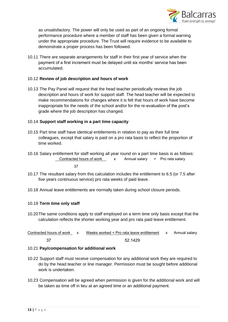

as unsatisfactory. The power will only be used as part of an ongoing formal performance procedure where a member of staff has been given a formal warning under the appropriate procedure. The Trust will require evidence to be available to demonstrate a proper process has been followed.

10.11 There are separate arrangements for staff in their first year of service when the payment of a first increment must be delayed until six months' service has been accumulated.

#### 10.12 **Review of job description and hours of work**

10.13 The Pay Panel will request that the head teacher periodically reviews the job description and hours of work for support staff. The head teacher will be expected to make recommendations for changes where it is felt that hours of work have become inappropriate for the needs of the school and/or for the re-evaluation of the post's grade where the job description has changed.

#### 10.14 **Support staff working in a part time capacity**

- 10.15 Part time staff have identical entitlements in relation to pay as their full time colleagues, except that salary is paid on a pro rata basis to reflect the proportion of time worked.
- 10.16 Salary entitlement for staff working all year round on a part time basis is as follows: Contracted hours of work  $\frac{x}{1}$  Annual salary = Pro rata salary

37

- 10.17 The resultant salary from this calculation includes the entitlement to 6.5 (or 7.5 after five years continuous service) pro rata weeks of paid leave.
- 10.18 Annual leave entitlements are normally taken during school closure periods.

#### 10.19 **Term time only staff**

10.20The same conditions apply to staff employed on a term time only basis except that the calculation reflects the shorter working year and pro rata paid leave entitlement.

| Contracted hours of work x | Weeks worked + Pro rata leave entitlement x Annual salary |  |
|----------------------------|-----------------------------------------------------------|--|
|                            | 52.1429                                                   |  |

#### 10.21 **Pay/compensation for additional work**

- 10.22 Support staff must receive compensation for any additional work they are required to do by the head teacher or line manager. Permission must be sought before additional work is undertaken.
- 10.23 Compensation will be agreed when permission is given for the additional work and will be taken as time off in lieu at an agreed time or an additional payment.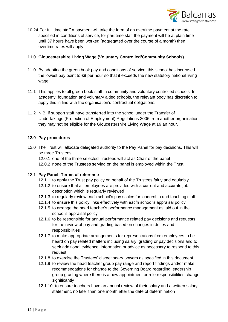

10.24 For full time staff a payment will take the form of an overtime payment at the rate specified in conditions of service, for part time staff the payment will be at plain time until 37 hours have been worked (aggregated over the course of a month) then overtime rates will apply.

### **11.0 Gloucestershire Living Wage (Voluntary Controlled/Community Schools)**

- 11.0 By adopting the green book pay and conditions of service, this school has increased the lowest pay point to £9 per hour so that it exceeds the new statutory national living wage.
- 11.1 This applies to all green book staff in community and voluntary controlled schools. In academy, foundation and voluntary aided schools, the relevant body has discretion to apply this in line with the organisation's contractual obligations.
- 11.2 N.B. if support staff have transferred into the school under the Transfer of Undertakings (Protection of Employment) Regulations 2006 from another organisation, they may not be eligible for the Gloucestershire Living Wage at £9 an hour.

### **12.0 Pay procedures**

- 12.0 The Trust will allocate delegated authority to the Pay Panel for pay decisions. This will be three Trustees
	- 12.0.1 one of the three selected Trustees will act as Chair of the panel
	- 12.0.2 none of the Trustees serving on the panel is employed within the Trust

#### 12.1 **Pay Panel: Terms of reference**

- 12.1.1 to apply the Trust pay policy on behalf of the Trustees fairly and equitably
- 12.1.2 to ensure that all employees are provided with a current and accurate job description which is regularly reviewed
- 12.1.3 to regularly review each school's pay scales for leadership and teaching staff
- 12.1.4 to ensure this policy links effectively with eacfh school's appraisal policy
- 12.1.5 to arrange the head teacher's performance management as laid out in the school's appraisal policy
- 12.1.6 to be responsible for annual performance related pay decisions and requests for the review of pay and grading based on changes in duties and responsibilities
- 12.1.7 to make appropriate arrangements for representations from employees to be heard on pay related matters including salary, grading or pay decisions and to seek additional evidence, information or advice as necessary to respond to this request
- 12.1.8 to exercise the Trustees' discretionary powers as specified in this document
- 12.1.9 to review the head teacher group pay range and report findings and/or make recommendations for change to the Governing Board regarding leadership group grading where there is a new appointment or role responsibilities change significantly
- 12.1.10 to ensure teachers have an annual review of their salary and a written salary statement, no later than one month after the date of determination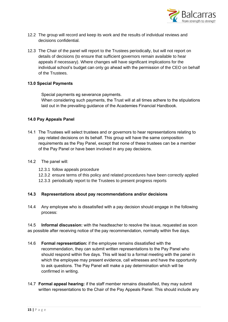

- 12.2 The group will record and keep its work and the results of individual reviews and decisions confidential.
- 12.3 The Chair of the panel will report to the Trustees periodically, but will not report on details of decisions (to ensure that sufficient governors remain available to hear appeals if necessary). Where changes will have significant implications for the individual school's budget can only go ahead with the permission of the CEO on behalf of the Trustees.

### **13.0 Special Payments**

Special payments eg severance payments.

When considering such payments, the Trust will at all times adhere to the stipulations laid out in the prevailing guidance of the Academies Financial Handbook.

### **14.0 Pay Appeals Panel**

- 14.1 The Trustees will select trustees and or governors to hear representations relating to pay related decisions on its behalf. This group will have the same composition requirements as the Pay Panel, except that none of these trustees can be a member of the Pay Panel or have been involved in any pay decisions.
- 14.2 The panel will:
	- 12.3.1 follow appeals procedure
	- 12.3.2 ensure terms of this policy and related procedures have been correctly applied
	- 12.3.3 periodically report to the Trustees to present progress reports

#### **14.3 Representations about pay recommendations and/or decisions**

14.4 Any employee who is dissatisfied with a pay decision should engage in the following process:

14.5 **Informal discussion:** with the headteacher to resolve the issue, requested as soon as possible after receiving notice of the pay recommendation, normally within five days.

- 14.6 **Formal representation:** if the employee remains dissatisfied with the recommendation, they can submit written representations to the Pay Panel who should respond within five days. This will lead to a formal meeting with the panel in which the employee may present evidence, call witnesses and have the opportunity to ask questions. The Pay Panel will make a pay determination which will be confirmed in writing.
- 14.7 **Formal appeal hearing:** if the staff member remains dissatisfied, they may submit written representations to the Chair of the Pay Appeals Panel. This should include any